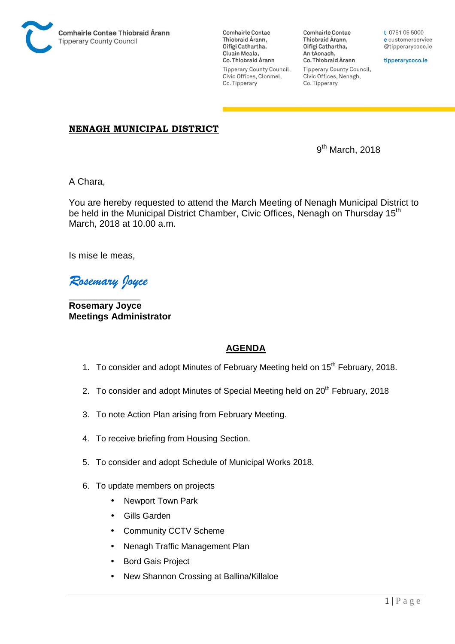

**Comhairle Contae** Thiobraid Árann. Oifigí Cathartha, Cluain Meala, Co. Thiobraid Árann **Tipperary County Council,** Civic Offices, Clonmel, Co. Tipperary

**Comhairle Contae** Thiobraid Árann, Oifigí Cathartha, An tAonach, Co. Thiobraid Árann **Tipperary County Council,** Civic Offices, Nenagh, Co. Tipperary

t 0761 06 5000 e customerservice @tipperarycoco.ie

tipperarycoco.ie

## **NENAGH MUNICIPAL DISTRICT**

9  $9<sup>th</sup>$  March, 2018

A Chara,

You are hereby requested to attend the March Meeting of Nenagh Municipal District to be held in the Municipal District Chamber, Civic Offices, Nenagh on Thursday 15<sup>th</sup> March, 2018 at 10.00 a.m.

Is mise le meas,

*Rosemary Joyce* 

\_\_\_\_\_\_\_\_\_\_\_\_\_\_ **Rosemary Joyce Meetings Administrator** 

## **AGENDA**

- 1. To consider and adopt Minutes of February Meeting held on 15<sup>th</sup> February, 2018.
- 2. To consider and adopt Minutes of Special Meeting held on 20<sup>th</sup> February, 2018
- 3. To note Action Plan arising from February Meeting.
- 4. To receive briefing from Housing Section.
- 5. To consider and adopt Schedule of Municipal Works 2018.
- 6. To update members on projects
	- Newport Town Park
	- Gills Garden
	- Community CCTV Scheme
	- Nenagh Traffic Management Plan
	- Bord Gais Project
	- New Shannon Crossing at Ballina/Killaloe